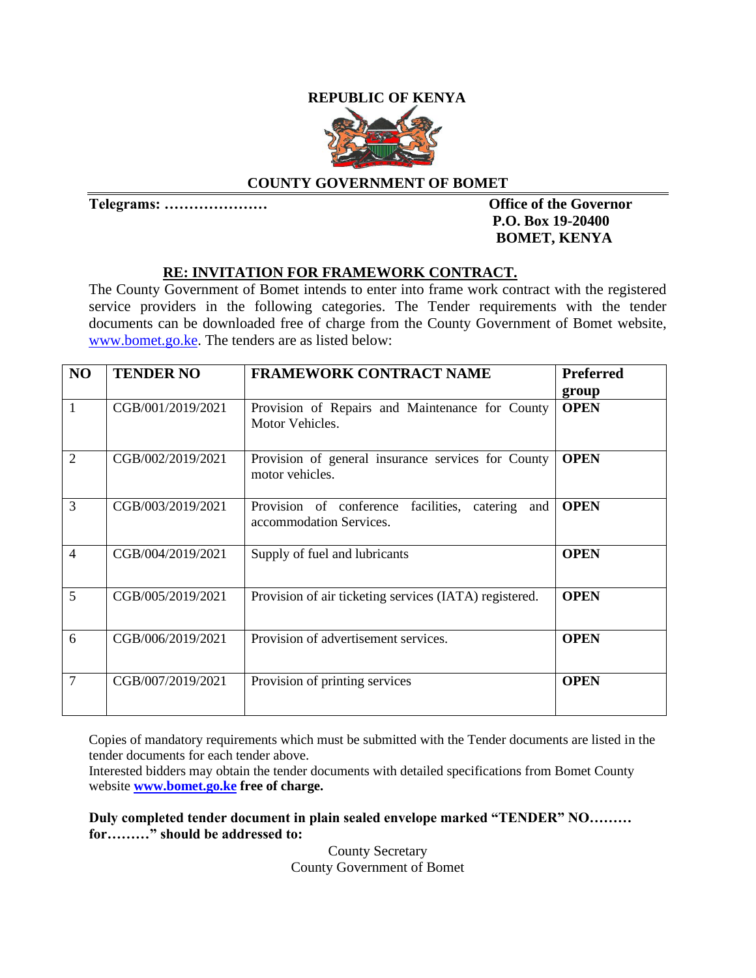## **REPUBLIC OF KENYA**



### **COUNTY GOVERNMENT OF BOMET**

**Telegrams: ………………… Office of the Governor** 

# **P.O. Box 19-20400 BOMET, KENYA**

### **RE: INVITATION FOR FRAMEWORK CONTRACT.**

The County Government of Bomet intends to enter into frame work contract with the registered service providers in the following categories. The Tender requirements with the tender documents can be downloaded free of charge from the County Government of Bomet website, [www.bomet.go.ke.](http://www.bomet.go.ke/) The tenders are as listed below:

| N <sub>O</sub> | <b>TENDER NO</b>  | <b>FRAMEWORK CONTRACT NAME</b>                                                    | <b>Preferred</b><br>group |
|----------------|-------------------|-----------------------------------------------------------------------------------|---------------------------|
| 1              | CGB/001/2019/2021 | Provision of Repairs and Maintenance for County<br>Motor Vehicles.                | <b>OPEN</b>               |
| $\overline{2}$ | CGB/002/2019/2021 | Provision of general insurance services for County<br>motor vehicles.             | <b>OPEN</b>               |
| 3              | CGB/003/2019/2021 | Provision of conference facilities,<br>catering<br>and<br>accommodation Services. | <b>OPEN</b>               |
| $\overline{4}$ | CGB/004/2019/2021 | Supply of fuel and lubricants                                                     | <b>OPEN</b>               |
| 5              | CGB/005/2019/2021 | Provision of air ticketing services (IATA) registered.                            | <b>OPEN</b>               |
| 6              | CGB/006/2019/2021 | Provision of advertisement services.                                              | <b>OPEN</b>               |
| $\overline{7}$ | CGB/007/2019/2021 | Provision of printing services                                                    | <b>OPEN</b>               |

Copies of mandatory requirements which must be submitted with the Tender documents are listed in the tender documents for each tender above.

Interested bidders may obtain the tender documents with detailed specifications from Bomet County website **[www.bomet.go.ke](http://www.bomet.go.ke/) free of charge.**

**Duly completed tender document in plain sealed envelope marked "TENDER" NO……… for………" should be addressed to:** 

> County Secretary County Government of Bomet